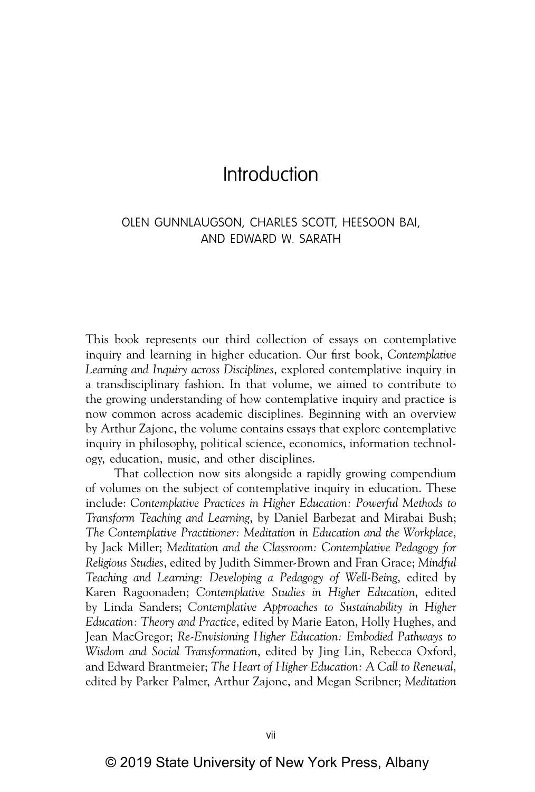# Introduction

# OLEN GUNNLAUGSON, CHARLES SCOTT, HEESOON BAI, AND EDWARD W. SARATH

This book represents our third collection of essays on contemplative inquiry and learning in higher education. Our first book, *Contemplative Learning and Inquiry across Disciplines*, explored contemplative inquiry in a transdisciplinary fashion. In that volume, we aimed to contribute to the growing understanding of how contemplative inquiry and practice is now common across academic disciplines. Beginning with an overview by Arthur Zajonc, the volume contains essays that explore contemplative inquiry in philosophy, political science, economics, information technology, education, music, and other disciplines.

That collection now sits alongside a rapidly growing compendium of volumes on the subject of contemplative inquiry in education. These include: *Contemplative Practices in Higher Education: Powerful Methods to Transform Teaching and Learning*, by Daniel Barbezat and Mirabai Bush; *The Contemplative Practitioner: Meditation in Education and the Workplace*, by Jack Miller; *Meditation and the Classroom: Contemplative Pedagogy for Religious Studies*, edited by Judith Simmer-Brown and Fran Grace; *Mindful Teaching and Learning: Developing a Pedagogy of Well-Being*, edited by Karen Ragoonaden; *Contemplative Studies in Higher Education*, edited by Linda Sanders; *Contemplative Approaches to Sustainability in Higher Education: Theory and Practice*, edited by Marie Eaton, Holly Hughes, and Jean MacGregor; *Re-Envisioning Higher Education: Embodied Pathways to Wisdom and Social Transformation*, edited by Jing Lin, Rebecca Oxford, and Edward Brantmeier; *The Heart of Higher Education: A Call to Renewal*, edited by Parker Palmer, Arthur Zajonc, and Megan Scribner; *Meditation*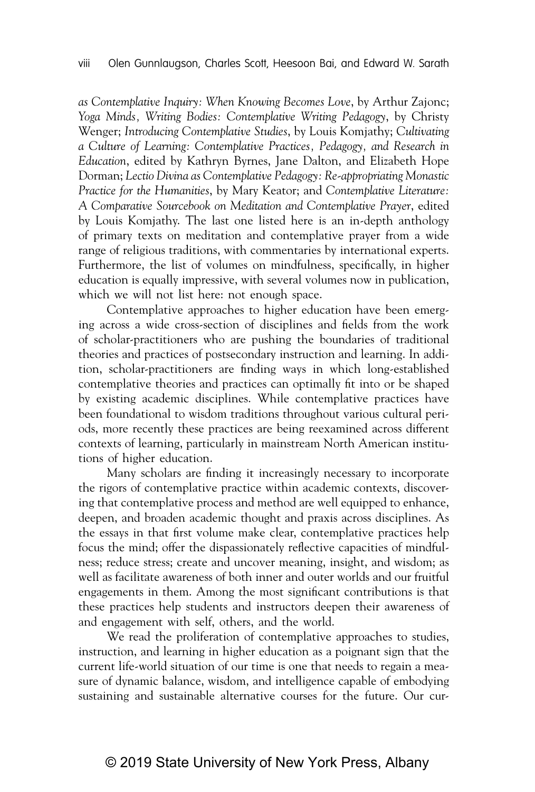*as Contemplative Inquiry: When Knowing Becomes Love*, by Arthur Zajonc; *Yoga Minds, Writing Bodies: Contemplative Writing Pedagogy*, by Christy Wenger; *Introducing Contemplative Studies*, by Louis Komjathy; *Cultivating a Culture of Learning: Contemplative Practices, Pedagogy, and Research in Education*, edited by Kathryn Byrnes, Jane Dalton, and Elizabeth Hope Dorman; *Lectio Divina as Contemplative Pedagogy: Re-appropriating Monastic Practice for the Humanities*, by Mary Keator; and *Contemplative Literature: A Comparative Sourcebook on Meditation and Contemplative Prayer*, edited by Louis Komjathy. The last one listed here is an in-depth anthology of primary texts on meditation and contemplative prayer from a wide range of religious traditions, with commentaries by international experts. Furthermore, the list of volumes on mindfulness, specifically, in higher education is equally impressive, with several volumes now in publication, which we will not list here: not enough space.

Contemplative approaches to higher education have been emerging across a wide cross-section of disciplines and fields from the work of scholar-practitioners who are pushing the boundaries of traditional theories and practices of postsecondary instruction and learning. In addition, scholar-practitioners are finding ways in which long-established contemplative theories and practices can optimally fit into or be shaped by existing academic disciplines. While contemplative practices have been foundational to wisdom traditions throughout various cultural periods, more recently these practices are being reexamined across different contexts of learning, particularly in mainstream North American institutions of higher education.

Many scholars are finding it increasingly necessary to incorporate the rigors of contemplative practice within academic contexts, discovering that contemplative process and method are well equipped to enhance, deepen, and broaden academic thought and praxis across disciplines. As the essays in that first volume make clear, contemplative practices help focus the mind; offer the dispassionately reflective capacities of mindfulness; reduce stress; create and uncover meaning, insight, and wisdom; as well as facilitate awareness of both inner and outer worlds and our fruitful engagements in them. Among the most significant contributions is that these practices help students and instructors deepen their awareness of and engagement with self, others, and the world.

We read the proliferation of contemplative approaches to studies, instruction, and learning in higher education as a poignant sign that the current life-world situation of our time is one that needs to regain a measure of dynamic balance, wisdom, and intelligence capable of embodying sustaining and sustainable alternative courses for the future. Our cur-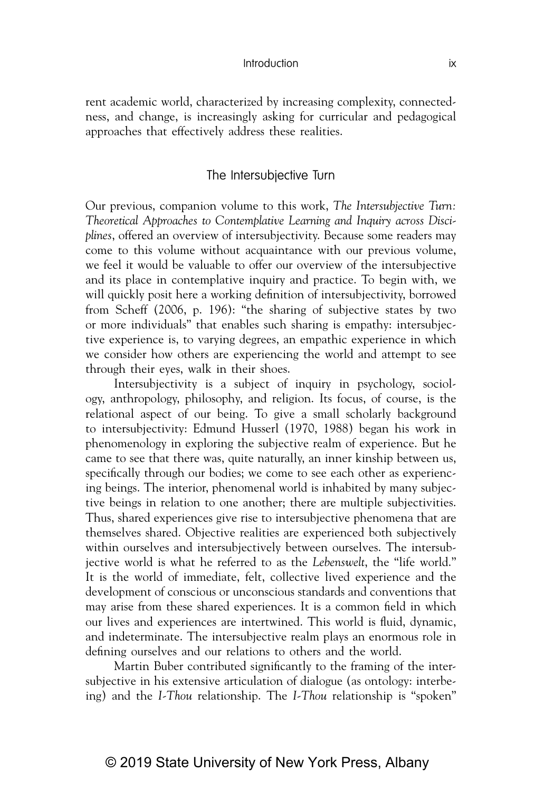#### Introduction ix

rent academic world, characterized by increasing complexity, connectedness, and change, is increasingly asking for curricular and pedagogical approaches that effectively address these realities.

### The Intersubjective Turn

Our previous, companion volume to this work, *The Intersubjective Turn: Theoretical Approaches to Contemplative Learning and Inquiry across Disciplines*, offered an overview of intersubjectivity. Because some readers may come to this volume without acquaintance with our previous volume, we feel it would be valuable to offer our overview of the intersubjective and its place in contemplative inquiry and practice. To begin with, we will quickly posit here a working definition of intersubjectivity, borrowed from Scheff (2006, p. 196): "the sharing of subjective states by two or more individuals" that enables such sharing is empathy: intersubjective experience is, to varying degrees, an empathic experience in which we consider how others are experiencing the world and attempt to see through their eyes, walk in their shoes.

Intersubjectivity is a subject of inquiry in psychology, sociology, anthropology, philosophy, and religion. Its focus, of course, is the relational aspect of our being. To give a small scholarly background to intersubjectivity: Edmund Husserl (1970, 1988) began his work in phenomenology in exploring the subjective realm of experience. But he came to see that there was, quite naturally, an inner kinship between us, specifically through our bodies; we come to see each other as experiencing beings. The interior, phenomenal world is inhabited by many subjective beings in relation to one another; there are multiple subjectivities. Thus, shared experiences give rise to intersubjective phenomena that are themselves shared. Objective realities are experienced both subjectively within ourselves and intersubjectively between ourselves. The intersubjective world is what he referred to as the *Lebenswelt*, the "life world." It is the world of immediate, felt, collective lived experience and the development of conscious or unconscious standards and conventions that may arise from these shared experiences. It is a common field in which our lives and experiences are intertwined. This world is fluid, dynamic, and indeterminate. The intersubjective realm plays an enormous role in defining ourselves and our relations to others and the world.

Martin Buber contributed significantly to the framing of the intersubjective in his extensive articulation of dialogue (as ontology: interbeing) and the *I-Thou* relationship. The *I-Thou* relationship is "spoken"

# © 2019 State University of New York Press, Albany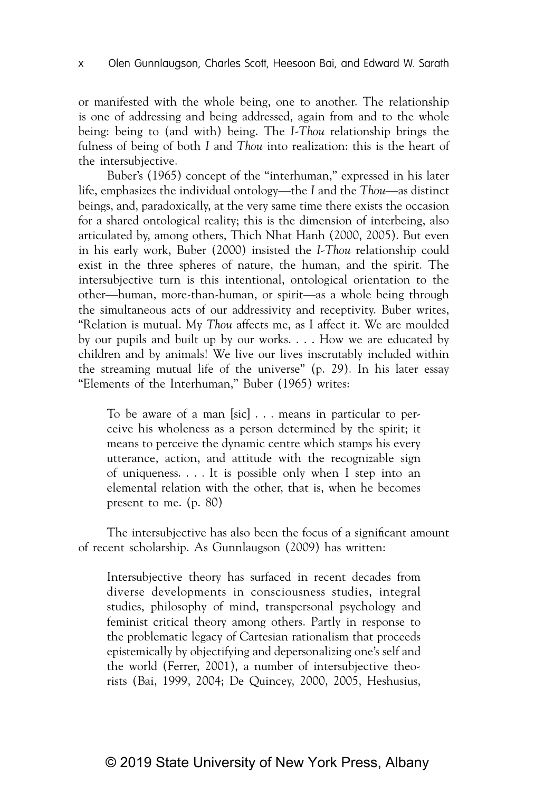or manifested with the whole being, one to another. The relationship is one of addressing and being addressed, again from and to the whole being: being to (and with) being. The *I-Thou* relationship brings the fulness of being of both *I* and *Thou* into realization: this is the heart of the intersubjective.

Buber's (1965) concept of the "interhuman," expressed in his later life, emphasizes the individual ontology—the *I* and the *Thou*—as distinct beings, and, paradoxically, at the very same time there exists the occasion for a shared ontological reality; this is the dimension of interbeing, also articulated by, among others, Thich Nhat Hanh (2000, 2005). But even in his early work, Buber (2000) insisted the *I-Thou* relationship could exist in the three spheres of nature, the human, and the spirit. The intersubjective turn is this intentional, ontological orientation to the other—human, more-than-human, or spirit—as a whole being through the simultaneous acts of our addressivity and receptivity. Buber writes, "Relation is mutual. My *Thou* affects me, as I affect it. We are moulded by our pupils and built up by our works. . . . How we are educated by children and by animals! We live our lives inscrutably included within the streaming mutual life of the universe" (p. 29). In his later essay "Elements of the Interhuman," Buber (1965) writes:

To be aware of a man [sic] . . . means in particular to perceive his wholeness as a person determined by the spirit; it means to perceive the dynamic centre which stamps his every utterance, action, and attitude with the recognizable sign of uniqueness. . . . It is possible only when I step into an elemental relation with the other, that is, when he becomes present to me. (p. 80)

The intersubjective has also been the focus of a significant amount of recent scholarship. As Gunnlaugson (2009) has written:

Intersubjective theory has surfaced in recent decades from diverse developments in consciousness studies, integral studies, philosophy of mind, transpersonal psychology and feminist critical theory among others. Partly in response to the problematic legacy of Cartesian rationalism that proceeds epistemically by objectifying and depersonalizing one's self and the world (Ferrer, 2001), a number of intersubjective theorists (Bai, 1999, 2004; De Quincey, 2000, 2005, Heshusius,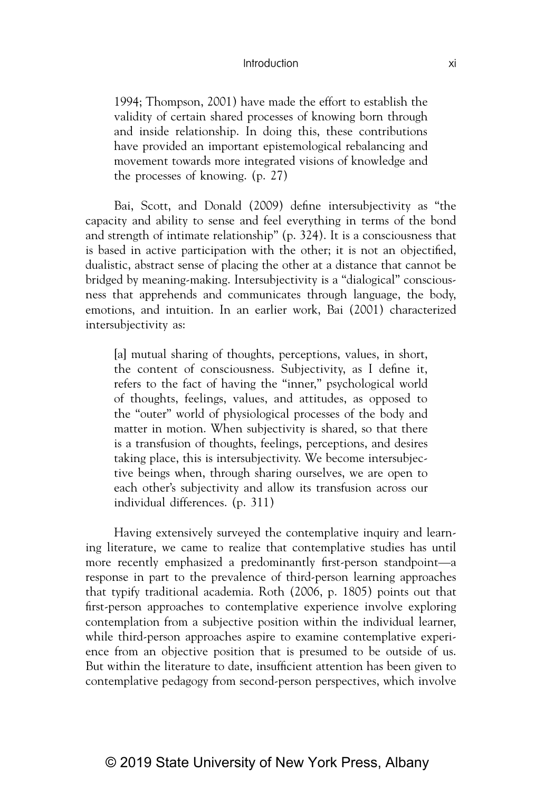### Introduction xi

1994; Thompson, 2001) have made the effort to establish the validity of certain shared processes of knowing born through and inside relationship. In doing this, these contributions have provided an important epistemological rebalancing and movement towards more integrated visions of knowledge and the processes of knowing. (p. 27)

Bai, Scott, and Donald (2009) define intersubjectivity as "the capacity and ability to sense and feel everything in terms of the bond and strength of intimate relationship" (p. 324). It is a consciousness that is based in active participation with the other; it is not an objectified, dualistic, abstract sense of placing the other at a distance that cannot be bridged by meaning-making. Intersubjectivity is a "dialogical" consciousness that apprehends and communicates through language, the body, emotions, and intuition. In an earlier work, Bai (2001) characterized intersubjectivity as:

[a] mutual sharing of thoughts, perceptions, values, in short, the content of consciousness. Subjectivity, as I define it, refers to the fact of having the "inner," psychological world of thoughts, feelings, values, and attitudes, as opposed to the "outer" world of physiological processes of the body and matter in motion. When subjectivity is shared, so that there is a transfusion of thoughts, feelings, perceptions, and desires taking place, this is intersubjectivity. We become intersubjective beings when, through sharing ourselves, we are open to each other's subjectivity and allow its transfusion across our individual differences. (p. 311)

Having extensively surveyed the contemplative inquiry and learning literature, we came to realize that contemplative studies has until more recently emphasized a predominantly first-person standpoint—a response in part to the prevalence of third-person learning approaches that typify traditional academia. Roth (2006, p. 1805) points out that first-person approaches to contemplative experience involve exploring contemplation from a subjective position within the individual learner, while third-person approaches aspire to examine contemplative experience from an objective position that is presumed to be outside of us. But within the literature to date, insufficient attention has been given to contemplative pedagogy from second-person perspectives, which involve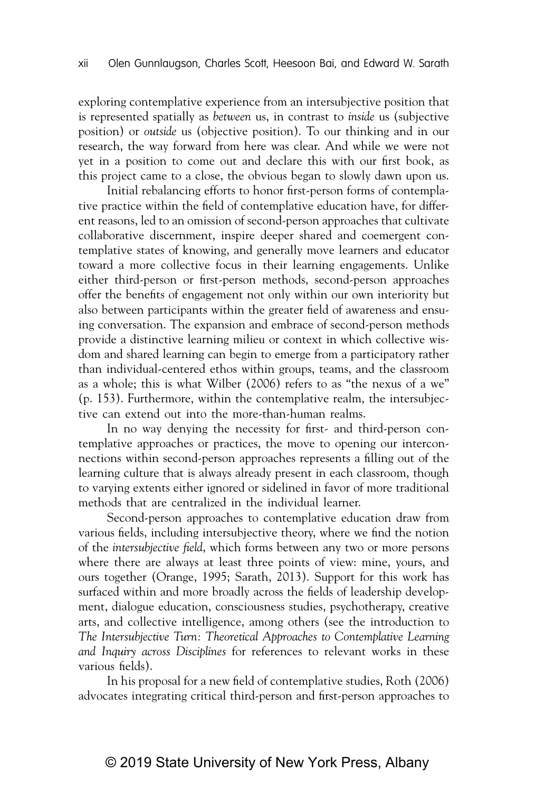exploring contemplative experience from an intersubjective position that is represented spatially as *between* us, in contrast to *inside* us (subjective position) or *outside* us (objective position). To our thinking and in our research, the way forward from here was clear. And while we were not yet in a position to come out and declare this with our first book, as this project came to a close, the obvious began to slowly dawn upon us.

Initial rebalancing efforts to honor first-person forms of contemplative practice within the field of contemplative education have, for different reasons, led to an omission of second-person approaches that cultivate collaborative discernment, inspire deeper shared and coemergent contemplative states of knowing, and generally move learners and educator toward a more collective focus in their learning engagements. Unlike either third-person or first-person methods, second-person approaches offer the benefits of engagement not only within our own interiority but also between participants within the greater field of awareness and ensuing conversation. The expansion and embrace of second-person methods provide a distinctive learning milieu or context in which collective wisdom and shared learning can begin to emerge from a participatory rather than individual-centered ethos within groups, teams, and the classroom as a whole; this is what Wilber (2006) refers to as "the nexus of a we" (p. 153). Furthermore, within the contemplative realm, the intersubjective can extend out into the more-than-human realms.

In no way denying the necessity for first- and third-person contemplative approaches or practices, the move to opening our interconnections within second-person approaches represents a filling out of the learning culture that is always already present in each classroom, though to varying extents either ignored or sidelined in favor of more traditional methods that are centralized in the individual learner.

Second-person approaches to contemplative education draw from various fields, including intersubjective theory, where we find the notion of the *intersubjective field*, which forms between any two or more persons where there are always at least three points of view: mine, yours, and ours together (Orange, 1995; Sarath, 2013). Support for this work has surfaced within and more broadly across the fields of leadership development, dialogue education, consciousness studies, psychotherapy, creative arts, and collective intelligence, among others (see the introduction to *The Intersubjective Turn: Theoretical Approaches to Contemplative Learning and Inquiry across Disciplines* for references to relevant works in these various fields).

In his proposal for a new field of contemplative studies, Roth (2006) advocates integrating critical third-person and first-person approaches to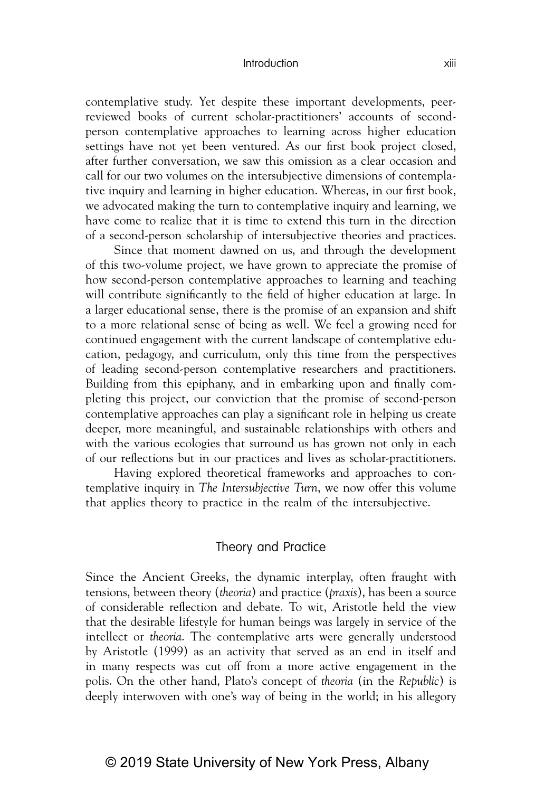#### Introduction xiii

contemplative study. Yet despite these important developments, peerreviewed books of current scholar-practitioners' accounts of secondperson contemplative approaches to learning across higher education settings have not yet been ventured. As our first book project closed, after further conversation, we saw this omission as a clear occasion and call for our two volumes on the intersubjective dimensions of contemplative inquiry and learning in higher education. Whereas, in our first book, we advocated making the turn to contemplative inquiry and learning, we have come to realize that it is time to extend this turn in the direction of a second-person scholarship of intersubjective theories and practices.

Since that moment dawned on us, and through the development of this two-volume project, we have grown to appreciate the promise of how second-person contemplative approaches to learning and teaching will contribute significantly to the field of higher education at large. In a larger educational sense, there is the promise of an expansion and shift to a more relational sense of being as well. We feel a growing need for continued engagement with the current landscape of contemplative education, pedagogy, and curriculum, only this time from the perspectives of leading second-person contemplative researchers and practitioners. Building from this epiphany, and in embarking upon and finally completing this project, our conviction that the promise of second-person contemplative approaches can play a significant role in helping us create deeper, more meaningful, and sustainable relationships with others and with the various ecologies that surround us has grown not only in each of our reflections but in our practices and lives as scholar-practitioners.

Having explored theoretical frameworks and approaches to contemplative inquiry in *The Intersubjective Turn*, we now offer this volume that applies theory to practice in the realm of the intersubjective.

### Theory and Practice

Since the Ancient Greeks, the dynamic interplay, often fraught with tensions, between theory (*theoria*) and practice (*praxis*), has been a source of considerable reflection and debate. To wit, Aristotle held the view that the desirable lifestyle for human beings was largely in service of the intellect or *theoria*. The contemplative arts were generally understood by Aristotle (1999) as an activity that served as an end in itself and in many respects was cut off from a more active engagement in the polis. On the other hand, Plato's concept of *theoria* (in the *Republic*) is deeply interwoven with one's way of being in the world; in his allegory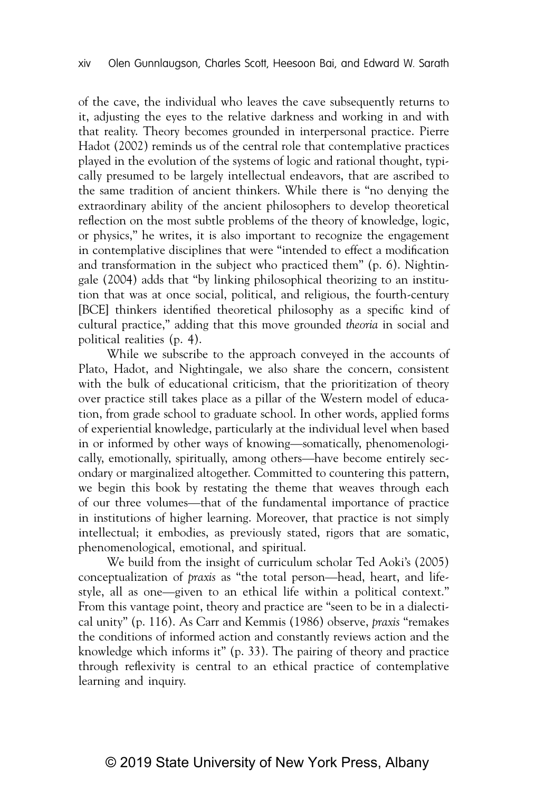of the cave, the individual who leaves the cave subsequently returns to it, adjusting the eyes to the relative darkness and working in and with that reality. Theory becomes grounded in interpersonal practice. Pierre Hadot (2002) reminds us of the central role that contemplative practices played in the evolution of the systems of logic and rational thought, typically presumed to be largely intellectual endeavors, that are ascribed to the same tradition of ancient thinkers. While there is "no denying the extraordinary ability of the ancient philosophers to develop theoretical reflection on the most subtle problems of the theory of knowledge, logic, or physics," he writes, it is also important to recognize the engagement in contemplative disciplines that were "intended to effect a modification and transformation in the subject who practiced them" (p. 6). Nightingale (2004) adds that "by linking philosophical theorizing to an institution that was at once social, political, and religious, the fourth-century [BCE] thinkers identified theoretical philosophy as a specific kind of cultural practice," adding that this move grounded *theoria* in social and political realities (p. 4).

While we subscribe to the approach conveyed in the accounts of Plato, Hadot, and Nightingale, we also share the concern, consistent with the bulk of educational criticism, that the prioritization of theory over practice still takes place as a pillar of the Western model of education, from grade school to graduate school. In other words, applied forms of experiential knowledge, particularly at the individual level when based in or informed by other ways of knowing—somatically, phenomenologically, emotionally, spiritually, among others—have become entirely secondary or marginalized altogether. Committed to countering this pattern, we begin this book by restating the theme that weaves through each of our three volumes—that of the fundamental importance of practice in institutions of higher learning. Moreover, that practice is not simply intellectual; it embodies, as previously stated, rigors that are somatic, phenomenological, emotional, and spiritual.

We build from the insight of curriculum scholar Ted Aoki's (2005) conceptualization of *praxis* as "the total person—head, heart, and lifestyle, all as one—given to an ethical life within a political context." From this vantage point, theory and practice are "seen to be in a dialectical unity" (p. 116). As Carr and Kemmis (1986) observe, *praxis* "remakes the conditions of informed action and constantly reviews action and the knowledge which informs it" (p. 33). The pairing of theory and practice through reflexivity is central to an ethical practice of contemplative learning and inquiry.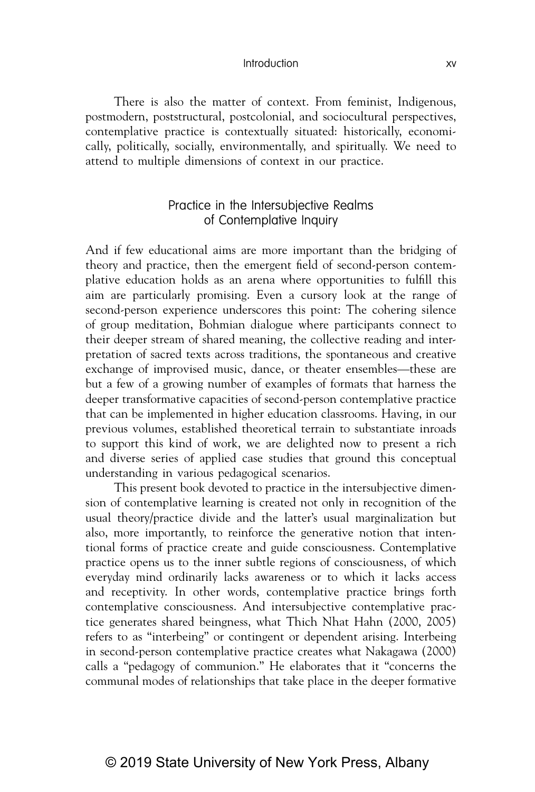### Introduction xv

There is also the matter of context. From feminist, Indigenous, postmodern, poststructural, postcolonial, and sociocultural perspectives, contemplative practice is contextually situated: historically, economically, politically, socially, environmentally, and spiritually. We need to attend to multiple dimensions of context in our practice.

## Practice in the Intersubjective Realms of Contemplative Inquiry

And if few educational aims are more important than the bridging of theory and practice, then the emergent field of second-person contemplative education holds as an arena where opportunities to fulfill this aim are particularly promising. Even a cursory look at the range of second-person experience underscores this point: The cohering silence of group meditation, Bohmian dialogue where participants connect to their deeper stream of shared meaning, the collective reading and interpretation of sacred texts across traditions, the spontaneous and creative exchange of improvised music, dance, or theater ensembles—these are but a few of a growing number of examples of formats that harness the deeper transformative capacities of second-person contemplative practice that can be implemented in higher education classrooms. Having, in our previous volumes, established theoretical terrain to substantiate inroads to support this kind of work, we are delighted now to present a rich and diverse series of applied case studies that ground this conceptual understanding in various pedagogical scenarios.

This present book devoted to practice in the intersubjective dimension of contemplative learning is created not only in recognition of the usual theory/practice divide and the latter's usual marginalization but also, more importantly, to reinforce the generative notion that intentional forms of practice create and guide consciousness. Contemplative practice opens us to the inner subtle regions of consciousness, of which everyday mind ordinarily lacks awareness or to which it lacks access and receptivity. In other words, contemplative practice brings forth contemplative consciousness. And intersubjective contemplative practice generates shared beingness, what Thich Nhat Hahn (2000, 2005) refers to as "interbeing" or contingent or dependent arising. Interbeing in second-person contemplative practice creates what Nakagawa (2000) calls a "pedagogy of communion." He elaborates that it "concerns the communal modes of relationships that take place in the deeper formative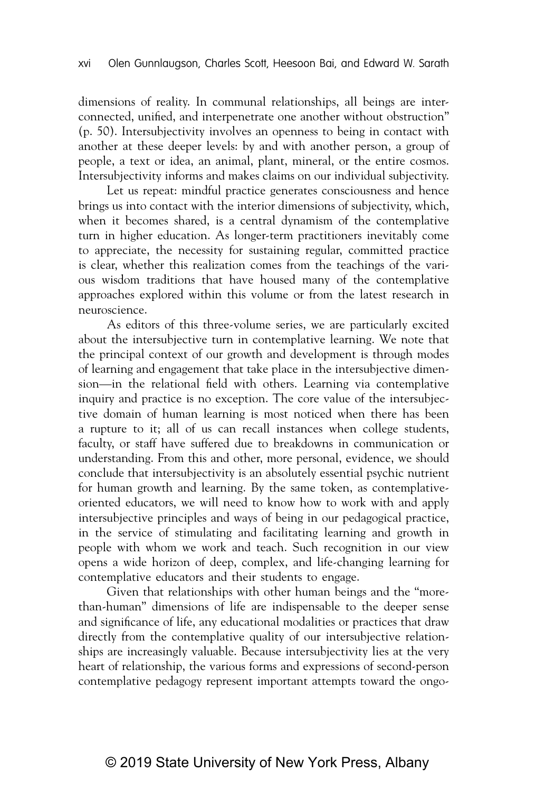dimensions of reality. In communal relationships, all beings are interconnected, unified, and interpenetrate one another without obstruction" (p. 50). Intersubjectivity involves an openness to being in contact with another at these deeper levels: by and with another person, a group of people, a text or idea, an animal, plant, mineral, or the entire cosmos. Intersubjectivity informs and makes claims on our individual subjectivity.

Let us repeat: mindful practice generates consciousness and hence brings us into contact with the interior dimensions of subjectivity, which, when it becomes shared, is a central dynamism of the contemplative turn in higher education. As longer-term practitioners inevitably come to appreciate, the necessity for sustaining regular, committed practice is clear, whether this realization comes from the teachings of the various wisdom traditions that have housed many of the contemplative approaches explored within this volume or from the latest research in neuroscience.

As editors of this three-volume series, we are particularly excited about the intersubjective turn in contemplative learning. We note that the principal context of our growth and development is through modes of learning and engagement that take place in the intersubjective dimension—in the relational field with others. Learning via contemplative inquiry and practice is no exception. The core value of the intersubjective domain of human learning is most noticed when there has been a rupture to it; all of us can recall instances when college students, faculty, or staff have suffered due to breakdowns in communication or understanding. From this and other, more personal, evidence, we should conclude that intersubjectivity is an absolutely essential psychic nutrient for human growth and learning. By the same token, as contemplativeoriented educators, we will need to know how to work with and apply intersubjective principles and ways of being in our pedagogical practice, in the service of stimulating and facilitating learning and growth in people with whom we work and teach. Such recognition in our view opens a wide horizon of deep, complex, and life-changing learning for contemplative educators and their students to engage.

Given that relationships with other human beings and the "morethan-human" dimensions of life are indispensable to the deeper sense and significance of life, any educational modalities or practices that draw directly from the contemplative quality of our intersubjective relationships are increasingly valuable. Because intersubjectivity lies at the very heart of relationship, the various forms and expressions of second-person contemplative pedagogy represent important attempts toward the ongo-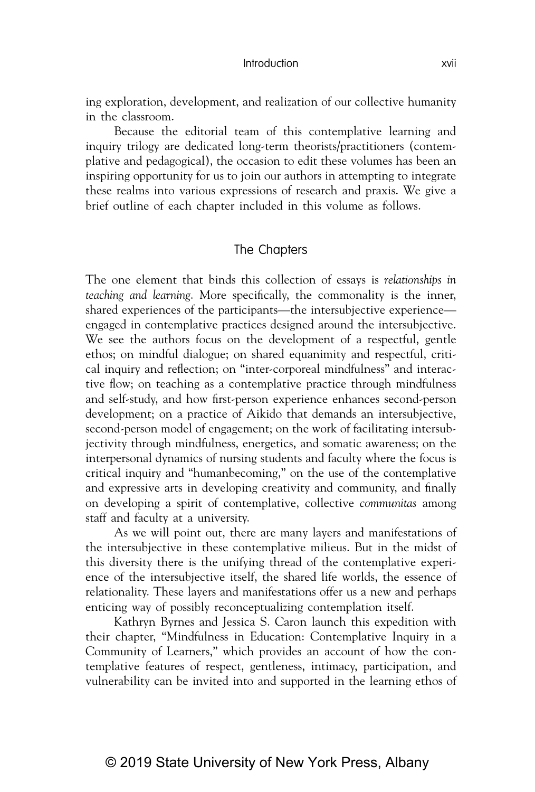#### Introduction xvii

ing exploration, development, and realization of our collective humanity in the classroom.

Because the editorial team of this contemplative learning and inquiry trilogy are dedicated long-term theorists/practitioners (contemplative and pedagogical), the occasion to edit these volumes has been an inspiring opportunity for us to join our authors in attempting to integrate these realms into various expressions of research and praxis. We give a brief outline of each chapter included in this volume as follows.

## The Chapters

The one element that binds this collection of essays is *relationships in teaching and learning*. More specifically, the commonality is the inner, shared experiences of the participants—the intersubjective experience engaged in contemplative practices designed around the intersubjective. We see the authors focus on the development of a respectful, gentle ethos; on mindful dialogue; on shared equanimity and respectful, critical inquiry and reflection; on "inter-corporeal mindfulness" and interactive flow; on teaching as a contemplative practice through mindfulness and self-study, and how first-person experience enhances second-person development; on a practice of Aikido that demands an intersubjective, second-person model of engagement; on the work of facilitating intersubjectivity through mindfulness, energetics, and somatic awareness; on the interpersonal dynamics of nursing students and faculty where the focus is critical inquiry and "humanbecoming," on the use of the contemplative and expressive arts in developing creativity and community, and finally on developing a spirit of contemplative, collective *communitas* among staff and faculty at a university.

As we will point out, there are many layers and manifestations of the intersubjective in these contemplative milieus. But in the midst of this diversity there is the unifying thread of the contemplative experience of the intersubjective itself, the shared life worlds, the essence of relationality. These layers and manifestations offer us a new and perhaps enticing way of possibly reconceptualizing contemplation itself.

Kathryn Byrnes and Jessica S. Caron launch this expedition with their chapter, "Mindfulness in Education: Contemplative Inquiry in a Community of Learners," which provides an account of how the contemplative features of respect, gentleness, intimacy, participation, and vulnerability can be invited into and supported in the learning ethos of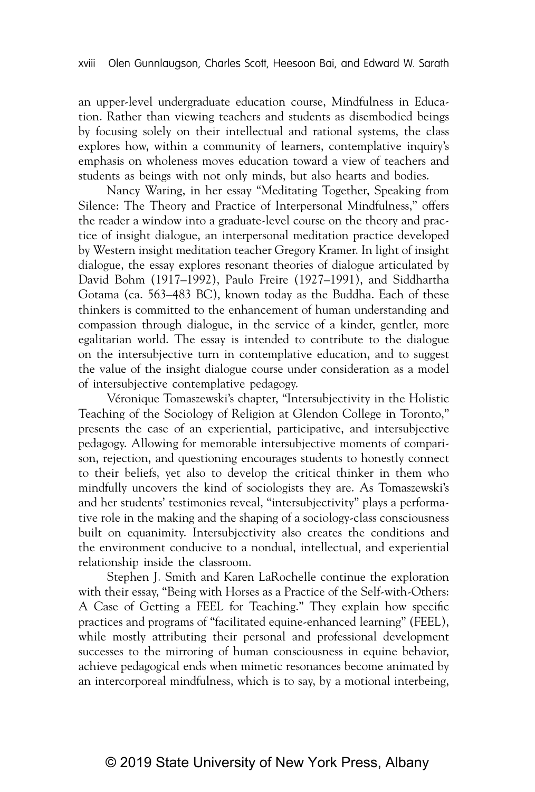an upper-level undergraduate education course, Mindfulness in Education. Rather than viewing teachers and students as disembodied beings by focusing solely on their intellectual and rational systems, the class explores how, within a community of learners, contemplative inquiry's emphasis on wholeness moves education toward a view of teachers and students as beings with not only minds, but also hearts and bodies.

Nancy Waring, in her essay "Meditating Together, Speaking from Silence: The Theory and Practice of Interpersonal Mindfulness," offers the reader a window into a graduate-level course on the theory and practice of insight dialogue, an interpersonal meditation practice developed by Western insight meditation teacher Gregory Kramer. In light of insight dialogue, the essay explores resonant theories of dialogue articulated by David Bohm (1917–1992), Paulo Freire (1927–1991), and Siddhartha Gotama (ca. 563–483 BC), known today as the Buddha. Each of these thinkers is committed to the enhancement of human understanding and compassion through dialogue, in the service of a kinder, gentler, more egalitarian world. The essay is intended to contribute to the dialogue on the intersubjective turn in contemplative education, and to suggest the value of the insight dialogue course under consideration as a model of intersubjective contemplative pedagogy.

Véronique Tomaszewski's chapter, "Intersubjectivity in the Holistic Teaching of the Sociology of Religion at Glendon College in Toronto," presents the case of an experiential, participative, and intersubjective pedagogy. Allowing for memorable intersubjective moments of comparison, rejection, and questioning encourages students to honestly connect to their beliefs, yet also to develop the critical thinker in them who mindfully uncovers the kind of sociologists they are. As Tomaszewski's and her students' testimonies reveal, "intersubjectivity" plays a performative role in the making and the shaping of a sociology-class consciousness built on equanimity. Intersubjectivity also creates the conditions and the environment conducive to a nondual, intellectual, and experiential relationship inside the classroom.

Stephen J. Smith and Karen LaRochelle continue the exploration with their essay, "Being with Horses as a Practice of the Self-with-Others: A Case of Getting a FEEL for Teaching." They explain how specific practices and programs of "facilitated equine-enhanced learning" (FEEL), while mostly attributing their personal and professional development successes to the mirroring of human consciousness in equine behavior, achieve pedagogical ends when mimetic resonances become animated by an intercorporeal mindfulness, which is to say, by a motional interbeing,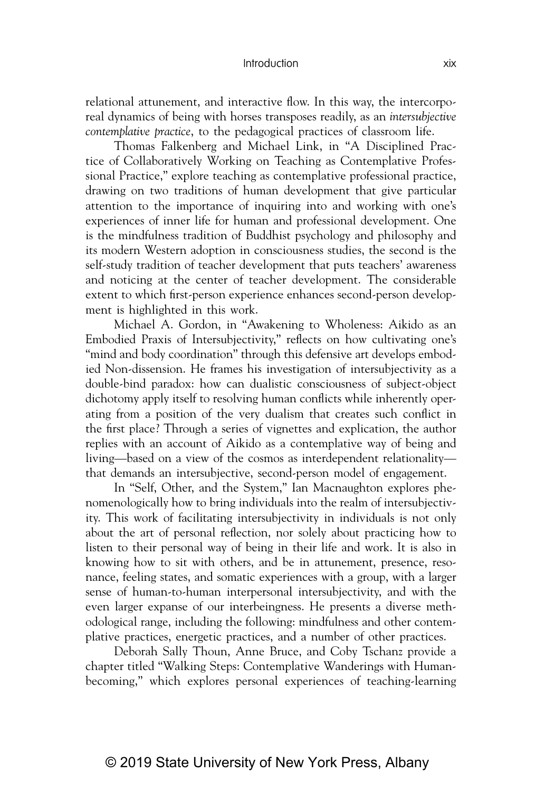### Introduction xix

relational attunement, and interactive flow. In this way, the intercorporeal dynamics of being with horses transposes readily, as an *intersubjective contemplative practice*, to the pedagogical practices of classroom life.

Thomas Falkenberg and Michael Link, in "A Disciplined Practice of Collaboratively Working on Teaching as Contemplative Professional Practice," explore teaching as contemplative professional practice, drawing on two traditions of human development that give particular attention to the importance of inquiring into and working with one's experiences of inner life for human and professional development. One is the mindfulness tradition of Buddhist psychology and philosophy and its modern Western adoption in consciousness studies, the second is the self-study tradition of teacher development that puts teachers' awareness and noticing at the center of teacher development. The considerable extent to which first-person experience enhances second-person development is highlighted in this work.

Michael A. Gordon, in "Awakening to Wholeness: Aikido as an Embodied Praxis of Intersubjectivity," reflects on how cultivating one's "mind and body coordination" through this defensive art develops embodied Non-dissension. He frames his investigation of intersubjectivity as a double-bind paradox: how can dualistic consciousness of subject-object dichotomy apply itself to resolving human conflicts while inherently operating from a position of the very dualism that creates such conflict in the first place? Through a series of vignettes and explication, the author replies with an account of Aikido as a contemplative way of being and living—based on a view of the cosmos as interdependent relationality that demands an intersubjective, second-person model of engagement.

In "Self, Other, and the System," Ian Macnaughton explores phenomenologically how to bring individuals into the realm of intersubjectivity. This work of facilitating intersubjectivity in individuals is not only about the art of personal reflection, nor solely about practicing how to listen to their personal way of being in their life and work. It is also in knowing how to sit with others, and be in attunement, presence, resonance, feeling states, and somatic experiences with a group, with a larger sense of human-to-human interpersonal intersubjectivity, and with the even larger expanse of our interbeingness. He presents a diverse methodological range, including the following: mindfulness and other contemplative practices, energetic practices, and a number of other practices.

Deborah Sally Thoun, Anne Bruce, and Coby Tschanz provide a chapter titled "Walking Steps: Contemplative Wanderings with Humanbecoming," which explores personal experiences of teaching-learning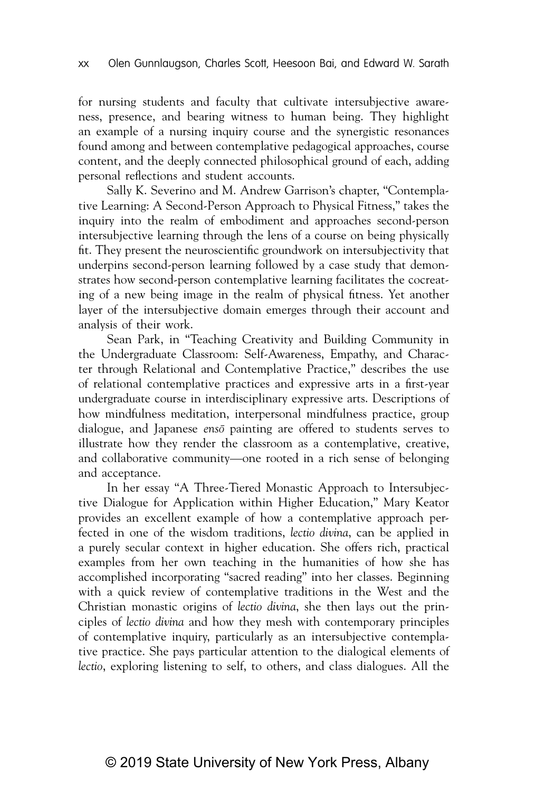for nursing students and faculty that cultivate intersubjective awareness, presence, and bearing witness to human being. They highlight an example of a nursing inquiry course and the synergistic resonances found among and between contemplative pedagogical approaches, course content, and the deeply connected philosophical ground of each, adding personal reflections and student accounts.

Sally K. Severino and M. Andrew Garrison's chapter, "Contemplative Learning: A Second-Person Approach to Physical Fitness," takes the inquiry into the realm of embodiment and approaches second-person intersubjective learning through the lens of a course on being physically fit. They present the neuroscientific groundwork on intersubjectivity that underpins second-person learning followed by a case study that demonstrates how second-person contemplative learning facilitates the cocreating of a new being image in the realm of physical fitness. Yet another layer of the intersubjective domain emerges through their account and analysis of their work.

Sean Park, in "Teaching Creativity and Building Community in the Undergraduate Classroom: Self-Awareness, Empathy, and Character through Relational and Contemplative Practice," describes the use of relational contemplative practices and expressive arts in a first-year undergraduate course in interdisciplinary expressive arts. Descriptions of how mindfulness meditation, interpersonal mindfulness practice, group dialogue, and Japanese *enso¯* painting are offered to students serves to illustrate how they render the classroom as a contemplative, creative, and collaborative community—one rooted in a rich sense of belonging and acceptance.

In her essay "A Three-Tiered Monastic Approach to Intersubjective Dialogue for Application within Higher Education," Mary Keator provides an excellent example of how a contemplative approach perfected in one of the wisdom traditions, *lectio divina*, can be applied in a purely secular context in higher education. She offers rich, practical examples from her own teaching in the humanities of how she has accomplished incorporating "sacred reading" into her classes. Beginning with a quick review of contemplative traditions in the West and the Christian monastic origins of *lectio divina*, she then lays out the principles of *lectio divina* and how they mesh with contemporary principles of contemplative inquiry, particularly as an intersubjective contemplative practice. She pays particular attention to the dialogical elements of *lectio*, exploring listening to self, to others, and class dialogues. All the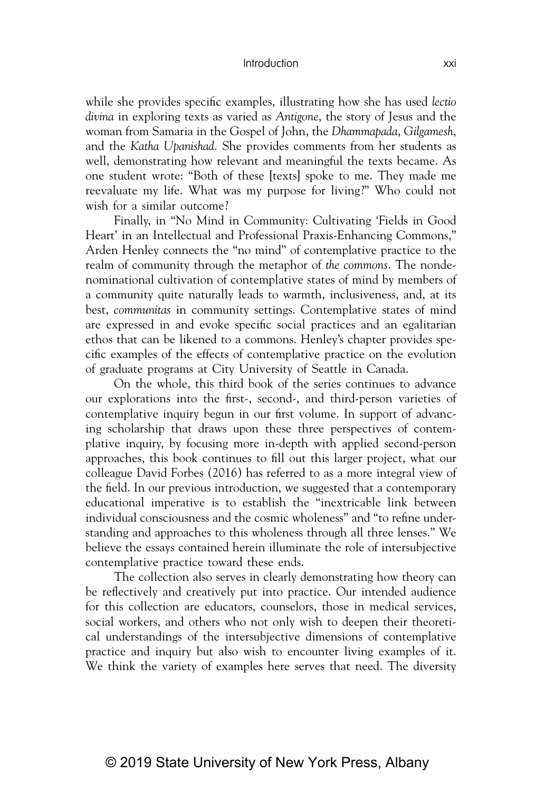#### Introduction xxi

while she provides specific examples, illustrating how she has used *lectio divina* in exploring texts as varied as *Antigone*, the story of Jesus and the woman from Samaria in the Gospel of John, the *Dhammapada*, *Gilgamesh*, and the *Katha Upanishad*. She provides comments from her students as well, demonstrating how relevant and meaningful the texts became. As one student wrote: "Both of these [texts] spoke to me. They made me reevaluate my life. What was my purpose for living?" Who could not wish for a similar outcome?

Finally, in "No Mind in Community: Cultivating 'Fields in Good Heart' in an Intellectual and Professional Praxis-Enhancing Commons," Arden Henley connects the "no mind" of contemplative practice to the realm of community through the metaphor of *the commons*. The nondenominational cultivation of contemplative states of mind by members of a community quite naturally leads to warmth, inclusiveness, and, at its best, *communitas* in community settings. Contemplative states of mind are expressed in and evoke specific social practices and an egalitarian ethos that can be likened to a commons. Henley's chapter provides specific examples of the effects of contemplative practice on the evolution of graduate programs at City University of Seattle in Canada.

On the whole, this third book of the series continues to advance our explorations into the first-, second-, and third-person varieties of contemplative inquiry begun in our first volume. In support of advancing scholarship that draws upon these three perspectives of contemplative inquiry, by focusing more in-depth with applied second-person approaches, this book continues to fill out this larger project, what our colleague David Forbes (2016) has referred to as a more integral view of the field. In our previous introduction, we suggested that a contemporary educational imperative is to establish the "inextricable link between individual consciousness and the cosmic wholeness" and "to refine understanding and approaches to this wholeness through all three lenses." We believe the essays contained herein illuminate the role of intersubjective contemplative practice toward these ends.

The collection also serves in clearly demonstrating how theory can be reflectively and creatively put into practice. Our intended audience for this collection are educators, counselors, those in medical services, social workers, and others who not only wish to deepen their theoretical understandings of the intersubjective dimensions of contemplative practice and inquiry but also wish to encounter living examples of it. We think the variety of examples here serves that need. The diversity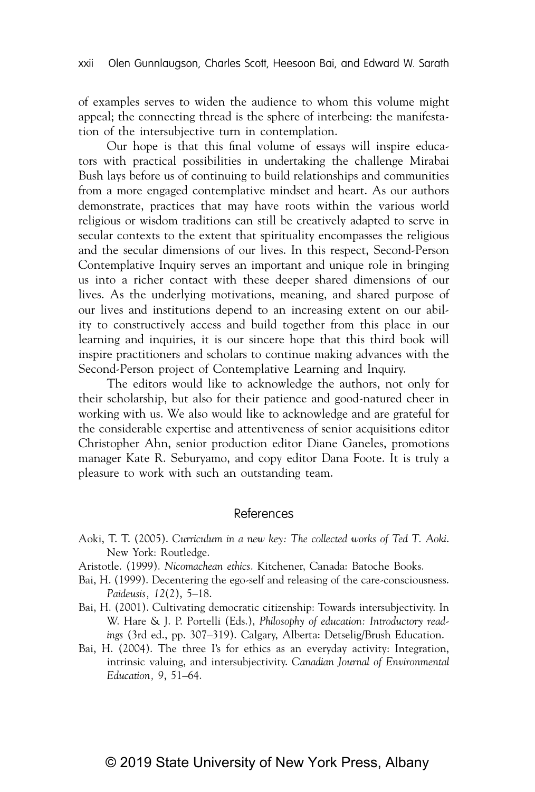of examples serves to widen the audience to whom this volume might appeal; the connecting thread is the sphere of interbeing: the manifestation of the intersubjective turn in contemplation.

Our hope is that this final volume of essays will inspire educators with practical possibilities in undertaking the challenge Mirabai Bush lays before us of continuing to build relationships and communities from a more engaged contemplative mindset and heart. As our authors demonstrate, practices that may have roots within the various world religious or wisdom traditions can still be creatively adapted to serve in secular contexts to the extent that spirituality encompasses the religious and the secular dimensions of our lives. In this respect, Second-Person Contemplative Inquiry serves an important and unique role in bringing us into a richer contact with these deeper shared dimensions of our lives. As the underlying motivations, meaning, and shared purpose of our lives and institutions depend to an increasing extent on our ability to constructively access and build together from this place in our learning and inquiries, it is our sincere hope that this third book will inspire practitioners and scholars to continue making advances with the Second-Person project of Contemplative Learning and Inquiry.

The editors would like to acknowledge the authors, not only for their scholarship, but also for their patience and good-natured cheer in working with us. We also would like to acknowledge and are grateful for the considerable expertise and attentiveness of senior acquisitions editor Christopher Ahn, senior production editor Diane Ganeles, promotions manager Kate R. Seburyamo, and copy editor Dana Foote. It is truly a pleasure to work with such an outstanding team.

### References

- Aoki, T. T. (2005). *Curriculum in a new key: The collected works of Ted T. Aoki*. New York: Routledge.
- Aristotle. (1999). *Nicomachean ethics*. Kitchener, Canada: Batoche Books.
- Bai, H. (1999). Decentering the ego-self and releasing of the care-consciousness. *Paideusis, 12*(2), 5–18.
- Bai, H. (2001). Cultivating democratic citizenship: Towards intersubjectivity. In W. Hare & J. P. Portelli (Eds.), *Philosophy of education: Introductory readings* (3rd ed., pp. 307–319). Calgary, Alberta: Detselig/Brush Education.
- Bai, H. (2004). The three I's for ethics as an everyday activity: Integration, intrinsic valuing, and intersubjectivity. *Canadian Journal of Environmental Education, 9*, 51–64.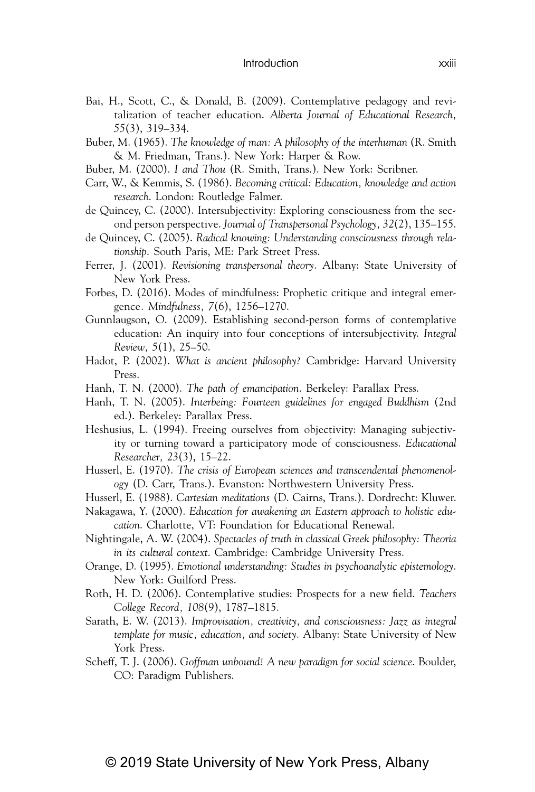- Bai, H., Scott, C., & Donald, B. (2009). Contemplative pedagogy and revitalization of teacher education. *Alberta Journal of Educational Research, 55*(3), 319–334.
- Buber, M. (1965). *The knowledge of man: A philosophy of the interhuman* (R. Smith & M. Friedman, Trans.). New York: Harper & Row.
- Buber, M. (2000). *I and Thou* (R. Smith, Trans.). New York: Scribner.
- Carr, W., & Kemmis, S. (1986). *Becoming critical: Education, knowledge and action research*. London: Routledge Falmer.
- de Quincey, C. (2000). Intersubjectivity: Exploring consciousness from the second person perspective. *Journal of Transpersonal Psychology, 32*(2), 135–155.
- de Quincey, C. (2005). *Radical knowing: Understanding consciousness through relationship*. South Paris, ME: Park Street Press.
- Ferrer, J. (2001). *Revisioning transpersonal theory*. Albany: State University of New York Press.
- Forbes, D. (2016). Modes of mindfulness: Prophetic critique and integral emergence*. Mindfulness, 7*(6), 1256–1270.
- Gunnlaugson, O. (2009). Establishing second-person forms of contemplative education: An inquiry into four conceptions of intersubjectivity. *Integral Review, 5*(1), 25–50.
- Hadot, P. (2002). *What is ancient philosophy?* Cambridge: Harvard University Press.
- Hanh, T. N. (2000). *The path of emancipation*. Berkeley: Parallax Press.
- Hanh, T. N. (2005). *Interbeing: Fourteen guidelines for engaged Buddhism* (2nd ed.). Berkeley: Parallax Press.
- Heshusius, L. (1994). Freeing ourselves from objectivity: Managing subjectivity or turning toward a participatory mode of consciousness. *Educational Researcher, 23*(3), 15–22.
- Husserl, E. (1970). *The crisis of European sciences and transcendental phenomenology* (D. Carr, Trans.). Evanston: Northwestern University Press.
- Husserl, E. (1988). *Cartesian meditations* (D. Cairns, Trans.). Dordrecht: Kluwer.
- Nakagawa, Y. (2000). *Education for awakening an Eastern approach to holistic education*. Charlotte, VT: Foundation for Educational Renewal.
- Nightingale, A. W. (2004). *Spectacles of truth in classical Greek philosophy: Theoria in its cultural context*. Cambridge: Cambridge University Press.
- Orange, D. (1995). *Emotional understanding: Studies in psychoanalytic epistemology*. New York: Guilford Press.
- Roth, H. D. (2006). Contemplative studies: Prospects for a new field. *Teachers College Record, 108*(9), 1787–1815.
- Sarath, E. W. (2013). *Improvisation, creativity, and consciousness: Jazz as integral template for music, education, and society*. Albany: State University of New York Press.
- Scheff, T. J. (2006). *Goffman unbound! A new paradigm for social science*. Boulder, CO: Paradigm Publishers.

# © 2019 State University of New York Press, Albany